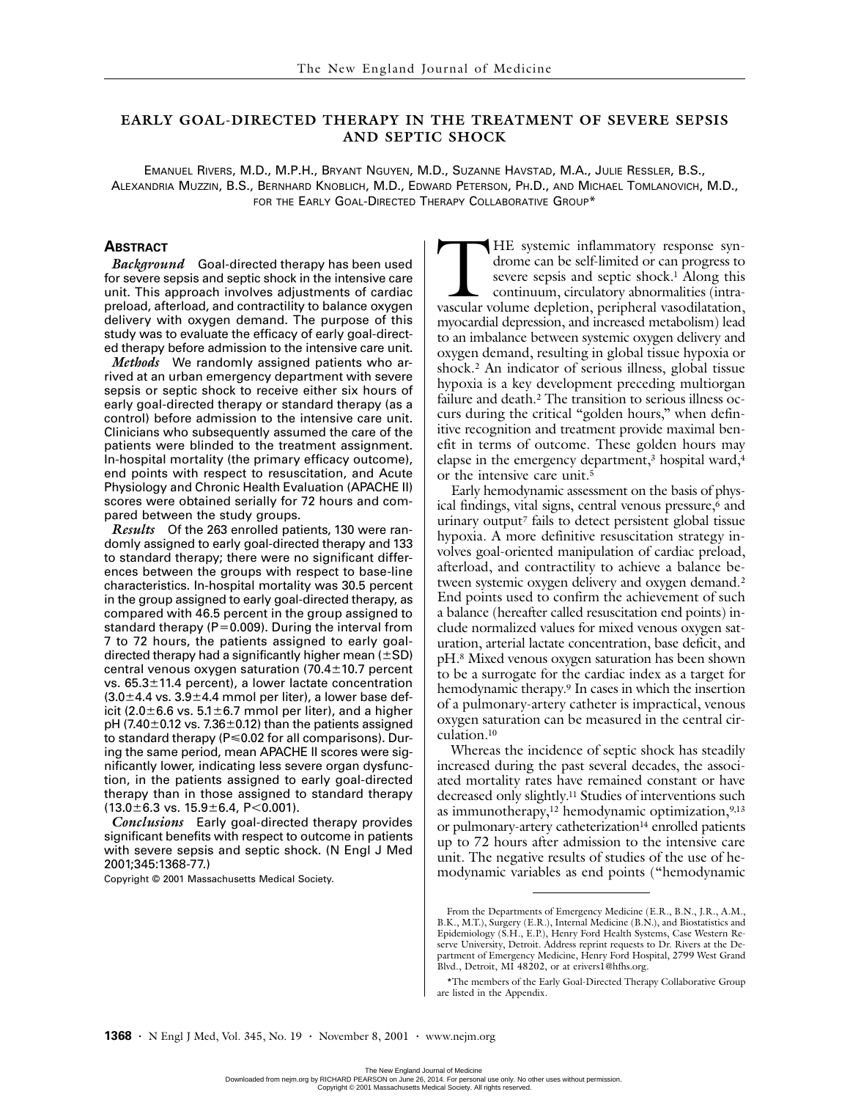# **EARLY GOAL-DIRECTED THERAPY IN THE TREATMENT OF SEVERE SEPSIS AND SEPTIC SHOCK**

EMANUEL RIVERS, M.D., M.P.H., BRYANT NGUYEN, M.D., SUZANNE HAVSTAD, M.A., JULIE RESSLER, B.S., ALEXANDRIA MUZZIN, B.S., BERNHARD KNOBLICH, M.D., EDWARD PETERSON, PH.D., AND MICHAEL TOMLANOVICH, M.D., FOR THE EARLY GOAL-DIRECTED THERAPY COLLABORATIVE GROUP\*

# **ABSTRACT**

*Background* Goal-directed therapy has been used for severe sepsis and septic shock in the intensive care unit. This approach involves adjustments of cardiac preload, afterload, and contractility to balance oxygen delivery with oxygen demand. The purpose of this study was to evaluate the efficacy of early goal-directed therapy before admission to the intensive care unit.

*Methods* We randomly assigned patients who arrived at an urban emergency department with severe sepsis or septic shock to receive either six hours of early goal-directed therapy or standard therapy (as a control) before admission to the intensive care unit. Clinicians who subsequently assumed the care of the patients were blinded to the treatment assignment. In-hospital mortality (the primary efficacy outcome), end points with respect to resuscitation, and Acute Physiology and Chronic Health Evaluation (APACHE II) scores were obtained serially for 72 hours and compared between the study groups.

*Results* Of the 263 enrolled patients, 130 were randomly assigned to early goal-directed therapy and 133 to standard therapy; there were no significant differences between the groups with respect to base-line characteristics. In-hospital mortality was 30.5 percent in the group assigned to early goal-directed therapy, as compared with 46.5 percent in the group assigned to standard therapy ( $P=0.009$ ). During the interval from 7 to 72 hours, the patients assigned to early goaldirected therapy had a significantly higher mean  $(\pm SD)$ central venous oxygen saturation (70.4±10.7 percent vs. 65.3±11.4 percent), a lower lactate concentration  $(3.0\pm4.4 \text{ vs. } 3.9\pm4.4 \text{ mmol per liter})$ , a lower base deficit (2.0 $\pm$ 6.6 vs. 5.1 $\pm$ 6.7 mmol per liter), and a higher pH (7.40 $\pm$ 0.12 vs. 7.36 $\pm$ 0.12) than the patients assigned to standard therapy ( $P \le 0.02$  for all comparisons). During the same period, mean APACHE II scores were significantly lower, indicating less severe organ dysfunction, in the patients assigned to early goal-directed therapy than in those assigned to standard therapy (13.0 $\pm$ 6.3 vs. 15.9 $\pm$ 6.4, P<0.001).

*Conclusions* Early goal-directed therapy provides significant benefits with respect to outcome in patients with severe sepsis and septic shock. (N Engl J Med 2001;345:1368-77.)

Copyright © 2001 Massachusetts Medical Society.

HE systemic inflammatory response syndrome can be self-limited or can progress to severe sepsis and septic shock.<sup>1</sup> Along this continuum, circulatory abnormalities (intra-THE systemic inflammatory response syndrome can be self-limited or can progress to severe sepsis and septic shock.<sup>1</sup> Along this continuum, circulatory abnormalities (intra-vascular volume depletion, peripheral vasodilatat myocardial depression, and increased metabolism) lead to an imbalance between systemic oxygen delivery and oxygen demand, resulting in global tissue hypoxia or shock.2 An indicator of serious illness, global tissue hypoxia is a key development preceding multiorgan failure and death.<sup>2</sup> The transition to serious illness occurs during the critical "golden hours," when definitive recognition and treatment provide maximal benefit in terms of outcome. These golden hours may elapse in the emergency department,<sup>3</sup> hospital ward, $4$ or the intensive care unit.5

Early hemodynamic assessment on the basis of physical findings, vital signs, central venous pressure,<sup>6</sup> and urinary output7 fails to detect persistent global tissue hypoxia. A more definitive resuscitation strategy involves goal-oriented manipulation of cardiac preload, afterload, and contractility to achieve a balance between systemic oxygen delivery and oxygen demand.<sup>2</sup> End points used to confirm the achievement of such a balance (hereafter called resuscitation end points) include normalized values for mixed venous oxygen saturation, arterial lactate concentration, base deficit, and pH.8 Mixed venous oxygen saturation has been shown to be a surrogate for the cardiac index as a target for hemodynamic therapy.9 In cases in which the insertion of a pulmonary-artery catheter is impractical, venous oxygen saturation can be measured in the central circulation.10

Whereas the incidence of septic shock has steadily increased during the past several decades, the associated mortality rates have remained constant or have decreased only slightly.11 Studies of interventions such as immunotherapy, $12$  hemodynamic optimization, $9,13$ or pulmonary-artery catheterization<sup>14</sup> enrolled patients up to 72 hours after admission to the intensive care unit. The negative results of studies of the use of hemodynamic variables as end points ("hemodynamic

From the Departments of Emergency Medicine (E.R., B.N., J.R., A.M., B.K., M.T.), Surgery (E.R.), Internal Medicine (B.N.), and Biostatistics and Epidemiology (S.H., E.P.), Henry Ford Health Systems, Case Western Reserve University, Detroit. Address reprint requests to Dr. Rivers at the Department of Emergency Medicine, Henry Ford Hospital, 2799 West Grand Blvd., Detroit, MI 48202, or at erivers1@hfhs.org.

<sup>\*</sup>The members of the Early Goal-Directed Therapy Collaborative Group are listed in the Appendix.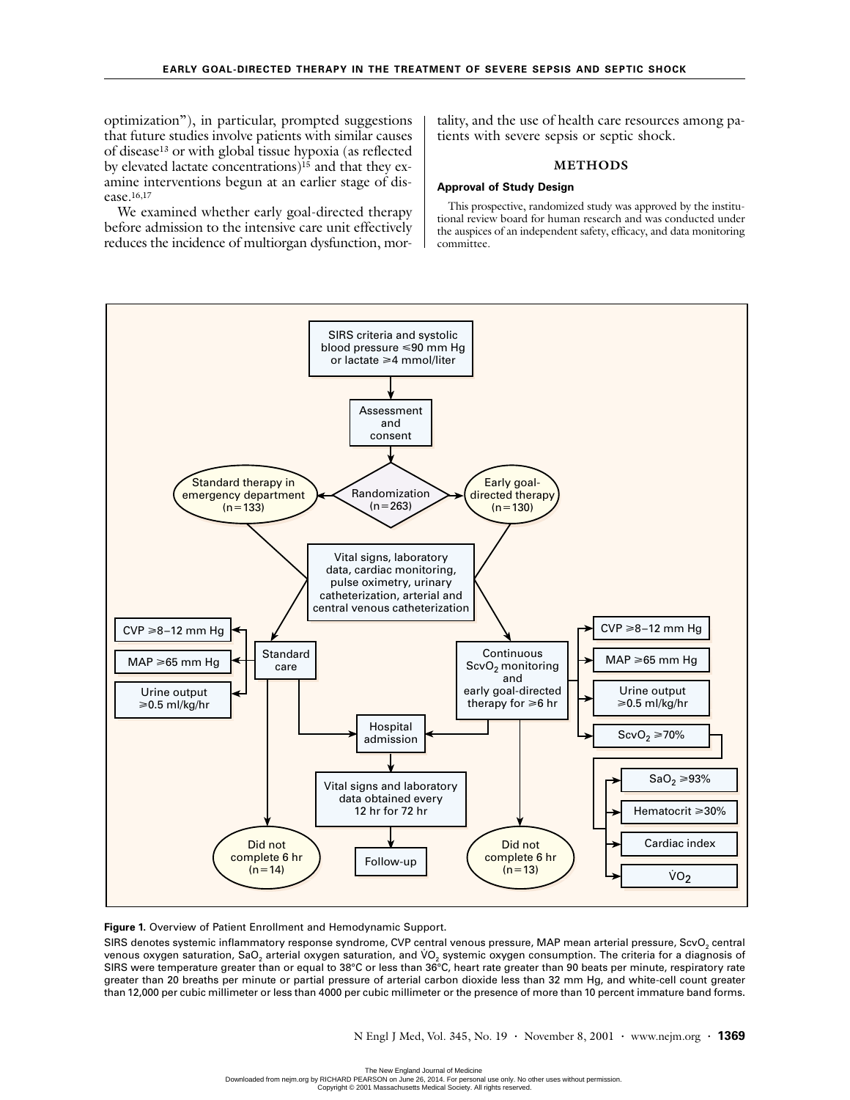optimization"), in particular, prompted suggestions that future studies involve patients with similar causes of disease13 or with global tissue hypoxia (as reflected by elevated lactate concentrations)15 and that they examine interventions begun at an earlier stage of disease.16,17

We examined whether early goal-directed therapy before admission to the intensive care unit effectively reduces the incidence of multiorgan dysfunction, mor-

tality, and the use of health care resources among patients with severe sepsis or septic shock.

# **METHODS**

# **Approval of Study Design**

This prospective, randomized study was approved by the institutional review board for human research and was conducted under the auspices of an independent safety, efficacy, and data monitoring committee.



## **Figure 1.** Overview of Patient Enrollment and Hemodynamic Support.

SIRS denotes systemic inflammatory response syndrome, CVP central venous pressure, MAP mean arterial pressure, ScvO<sub>2</sub> central venous oxygen saturation, SaO, arterial oxygen saturation, and VO<sub>2</sub> systemic oxygen consumption. The criteria for a diagnosis of SIRS were temperature greater than or equal to 38°C or less than 36°C, heart rate greater than 90 beats per minute, respiratory rate greater than 20 breaths per minute or partial pressure of arterial carbon dioxide less than 32 mm Hg, and white-cell count greater than 12,000 per cubic millimeter or less than 4000 per cubic millimeter or the presence of more than 10 percent immature band forms.

N Engl J Med, Vol. 345, No. 19 **·** November 8, 2001 **·** www.nejm.org **· 1369**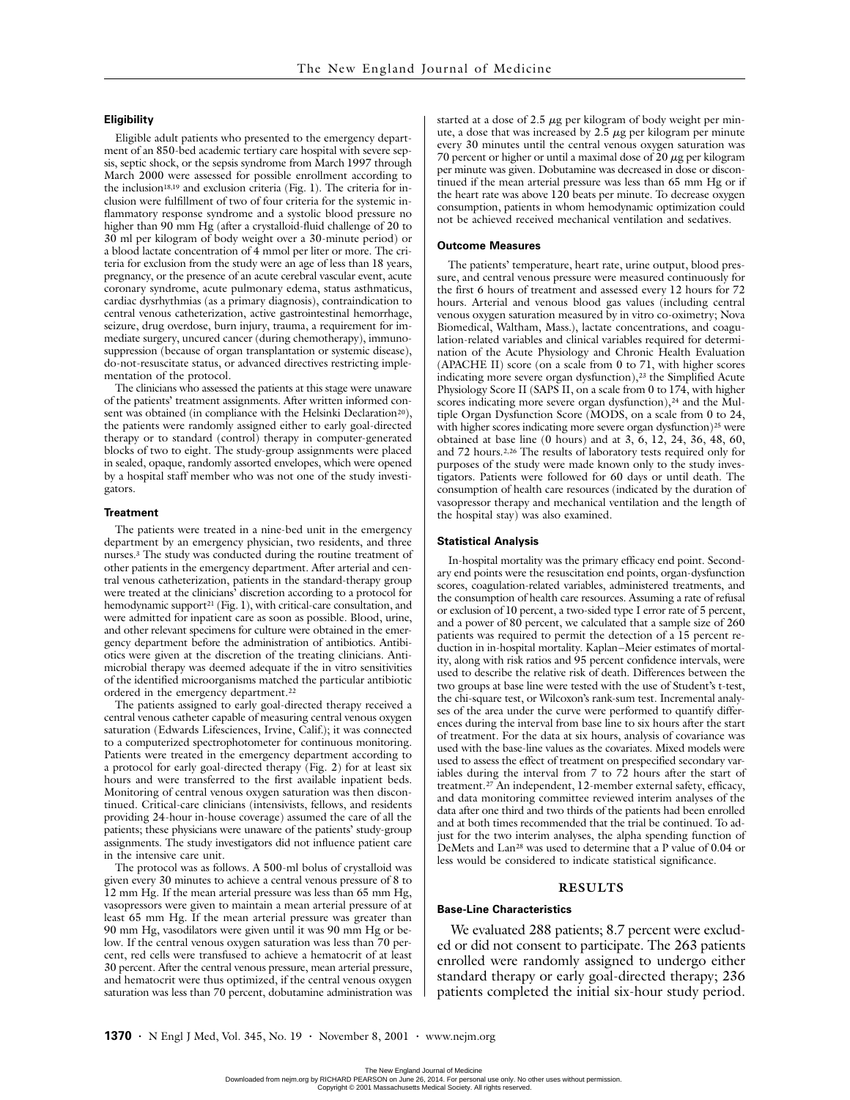### **Eligibility**

Eligible adult patients who presented to the emergency department of an 850-bed academic tertiary care hospital with severe sepsis, septic shock, or the sepsis syndrome from March 1997 through March 2000 were assessed for possible enrollment according to the inclusion<sup>18,19</sup> and exclusion criteria (Fig. 1). The criteria for inclusion were fulfillment of two of four criteria for the systemic inflammatory response syndrome and a systolic blood pressure no higher than 90 mm Hg (after a crystalloid-fluid challenge of 20 to 30 ml per kilogram of body weight over a 30-minute period) or a blood lactate concentration of 4 mmol per liter or more. The criteria for exclusion from the study were an age of less than 18 years, pregnancy, or the presence of an acute cerebral vascular event, acute coronary syndrome, acute pulmonary edema, status asthmaticus, cardiac dysrhythmias (as a primary diagnosis), contraindication to central venous catheterization, active gastrointestinal hemorrhage, seizure, drug overdose, burn injury, trauma, a requirement for immediate surgery, uncured cancer (during chemotherapy), immunosuppression (because of organ transplantation or systemic disease), do-not-resuscitate status, or advanced directives restricting implementation of the protocol.

The clinicians who assessed the patients at this stage were unaware of the patients' treatment assignments. After written informed consent was obtained (in compliance with the Helsinki Declaration<sup>20</sup>), the patients were randomly assigned either to early goal-directed therapy or to standard (control) therapy in computer-generated blocks of two to eight. The study-group assignments were placed in sealed, opaque, randomly assorted envelopes, which were opened by a hospital staff member who was not one of the study investigators.

# **Treatment**

The patients were treated in a nine-bed unit in the emergency department by an emergency physician, two residents, and three nurses.3 The study was conducted during the routine treatment of other patients in the emergency department. After arterial and central venous catheterization, patients in the standard-therapy group were treated at the clinicians' discretion according to a protocol for hemodynamic support<sup>21</sup> (Fig. 1), with critical-care consultation, and were admitted for inpatient care as soon as possible. Blood, urine, and other relevant specimens for culture were obtained in the emergency department before the administration of antibiotics. Antibiotics were given at the discretion of the treating clinicians. Antimicrobial therapy was deemed adequate if the in vitro sensitivities of the identified microorganisms matched the particular antibiotic ordered in the emergency department.22

The patients assigned to early goal-directed therapy received a central venous catheter capable of measuring central venous oxygen saturation (Edwards Lifesciences, Irvine, Calif.); it was connected to a computerized spectrophotometer for continuous monitoring. Patients were treated in the emergency department according to a protocol for early goal-directed therapy (Fig. 2) for at least six hours and were transferred to the first available inpatient beds. Monitoring of central venous oxygen saturation was then discontinued. Critical-care clinicians (intensivists, fellows, and residents providing 24-hour in-house coverage) assumed the care of all the patients; these physicians were unaware of the patients' study-group assignments. The study investigators did not influence patient care in the intensive care unit.

The protocol was as follows. A 500-ml bolus of crystalloid was given every 30 minutes to achieve a central venous pressure of 8 to 12 mm Hg. If the mean arterial pressure was less than 65 mm Hg, vasopressors were given to maintain a mean arterial pressure of at least 65 mm Hg. If the mean arterial pressure was greater than 90 mm Hg, vasodilators were given until it was 90 mm Hg or below. If the central venous oxygen saturation was less than 70 percent, red cells were transfused to achieve a hematocrit of at least 30 percent. After the central venous pressure, mean arterial pressure, and hematocrit were thus optimized, if the central venous oxygen saturation was less than 70 percent, dobutamine administration was started at a dose of 2.5  $\mu$ g per kilogram of body weight per minute, a dose that was increased by  $2.5 \mu$ g per kilogram per minute every 30 minutes until the central venous oxygen saturation was 70 percent or higher or until a maximal dose of  $20 \mu$ g per kilogram per minute was given. Dobutamine was decreased in dose or discontinued if the mean arterial pressure was less than 65 mm Hg or if the heart rate was above 120 beats per minute. To decrease oxygen consumption, patients in whom hemodynamic optimization could not be achieved received mechanical ventilation and sedatives.

## **Outcome Measures**

The patients' temperature, heart rate, urine output, blood pressure, and central venous pressure were measured continuously for the first 6 hours of treatment and assessed every 12 hours for 72 hours. Arterial and venous blood gas values (including central venous oxygen saturation measured by in vitro co-oximetry; Nova Biomedical, Waltham, Mass.), lactate concentrations, and coagulation-related variables and clinical variables required for determination of the Acute Physiology and Chronic Health Evaluation (APACHE II) score (on a scale from 0 to 71, with higher scores indicating more severe organ dysfunction),<sup>23</sup> the Simplified Acute Physiology Score II (SAPS II, on a scale from 0 to 174, with higher scores indicating more severe organ dysfunction), $24$  and the Multiple Organ Dysfunction Score (MODS, on a scale from 0 to 24, with higher scores indicating more severe organ dysfunction)<sup>25</sup> were obtained at base line (0 hours) and at 3, 6, 12, 24, 36, 48, 60, and 72 hours.2,26 The results of laboratory tests required only for purposes of the study were made known only to the study investigators. Patients were followed for 60 days or until death. The consumption of health care resources (indicated by the duration of vasopressor therapy and mechanical ventilation and the length of the hospital stay) was also examined.

### **Statistical Analysis**

In-hospital mortality was the primary efficacy end point. Secondary end points were the resuscitation end points, organ-dysfunction scores, coagulation-related variables, administered treatments, and the consumption of health care resources. Assuming a rate of refusal or exclusion of 10 percent, a two-sided type I error rate of 5 percent, and a power of 80 percent, we calculated that a sample size of 260 patients was required to permit the detection of a 15 percent reduction in in-hospital mortality. Kaplan–Meier estimates of mortality, along with risk ratios and 95 percent confidence intervals, were used to describe the relative risk of death. Differences between the two groups at base line were tested with the use of Student's t-test, the chi-square test, or Wilcoxon's rank-sum test. Incremental analyses of the area under the curve were performed to quantify differences during the interval from base line to six hours after the start of treatment. For the data at six hours, analysis of covariance was used with the base-line values as the covariates. Mixed models were used to assess the effect of treatment on prespecified secondary variables during the interval from 7 to 72 hours after the start of treatment.27 An independent, 12-member external safety, efficacy, and data monitoring committee reviewed interim analyses of the data after one third and two thirds of the patients had been enrolled and at both times recommended that the trial be continued. To adjust for the two interim analyses, the alpha spending function of DeMets and Lan28 was used to determine that a P value of 0.04 or less would be considered to indicate statistical significance.

#### **RESULTS**

# **Base-Line Characteristics**

We evaluated 288 patients; 8.7 percent were excluded or did not consent to participate. The 263 patients enrolled were randomly assigned to undergo either standard therapy or early goal-directed therapy; 236 patients completed the initial six-hour study period.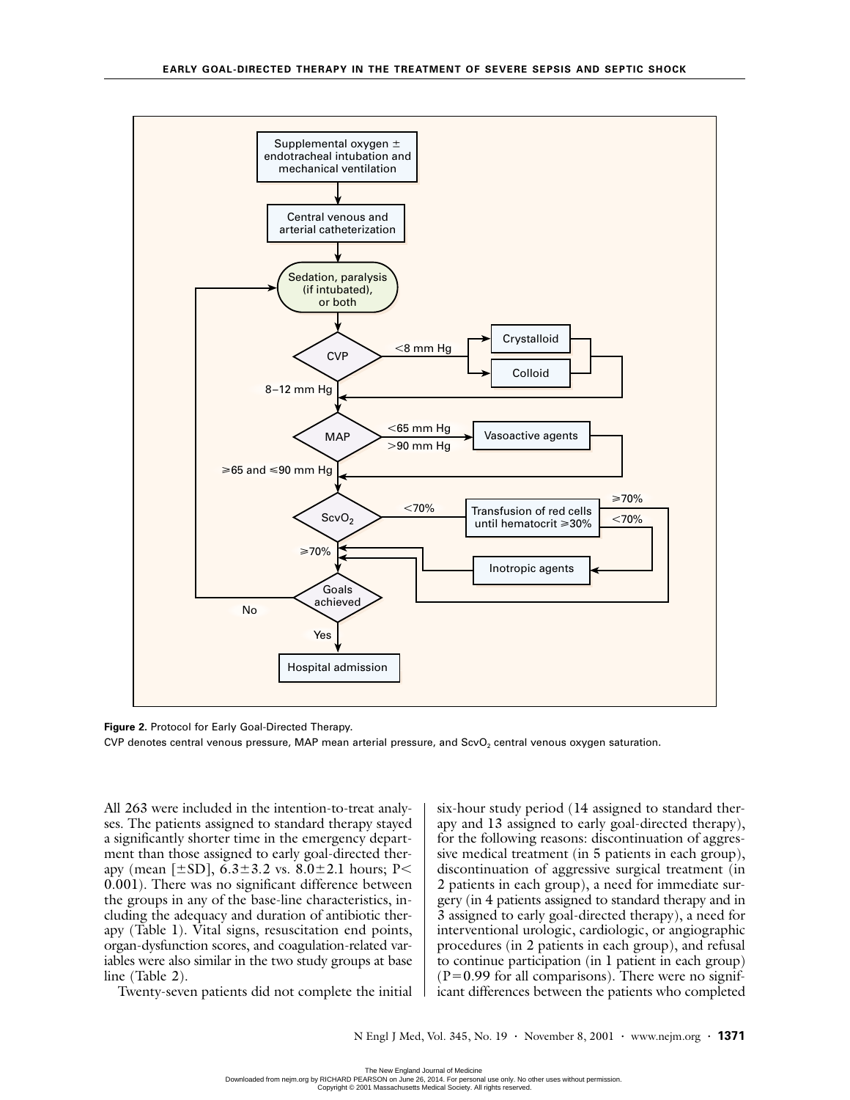

**Figure 2.** Protocol for Early Goal-Directed Therapy. CVP denotes central venous pressure, MAP mean arterial pressure, and ScvO<sub>2</sub> central venous oxygen saturation.

All 263 were included in the intention-to-treat analyses. The patients assigned to standard therapy stayed a significantly shorter time in the emergency department than those assigned to early goal-directed therapy (mean  $[\pm SD]$ , 6.3 $\pm 3.2$  vs. 8.0 $\pm 2.1$  hours; P< 0.001). There was no significant difference between the groups in any of the base-line characteristics, including the adequacy and duration of antibiotic therapy (Table 1). Vital signs, resuscitation end points, organ-dysfunction scores, and coagulation-related variables were also similar in the two study groups at base line (Table 2).

Twenty-seven patients did not complete the initial

six-hour study period (14 assigned to standard therapy and 13 assigned to early goal-directed therapy), for the following reasons: discontinuation of aggressive medical treatment (in 5 patients in each group), discontinuation of aggressive surgical treatment (in 2 patients in each group), a need for immediate surgery (in 4 patients assigned to standard therapy and in 3 assigned to early goal-directed therapy), a need for interventional urologic, cardiologic, or angiographic procedures (in 2 patients in each group), and refusal to continue participation (in 1 patient in each group)  $(P=0.99$  for all comparisons). There were no significant differences between the patients who completed

N Engl J Med, Vol. 345, No. 19 **·** November 8, 2001 **·** www.nejm.org **· 1371**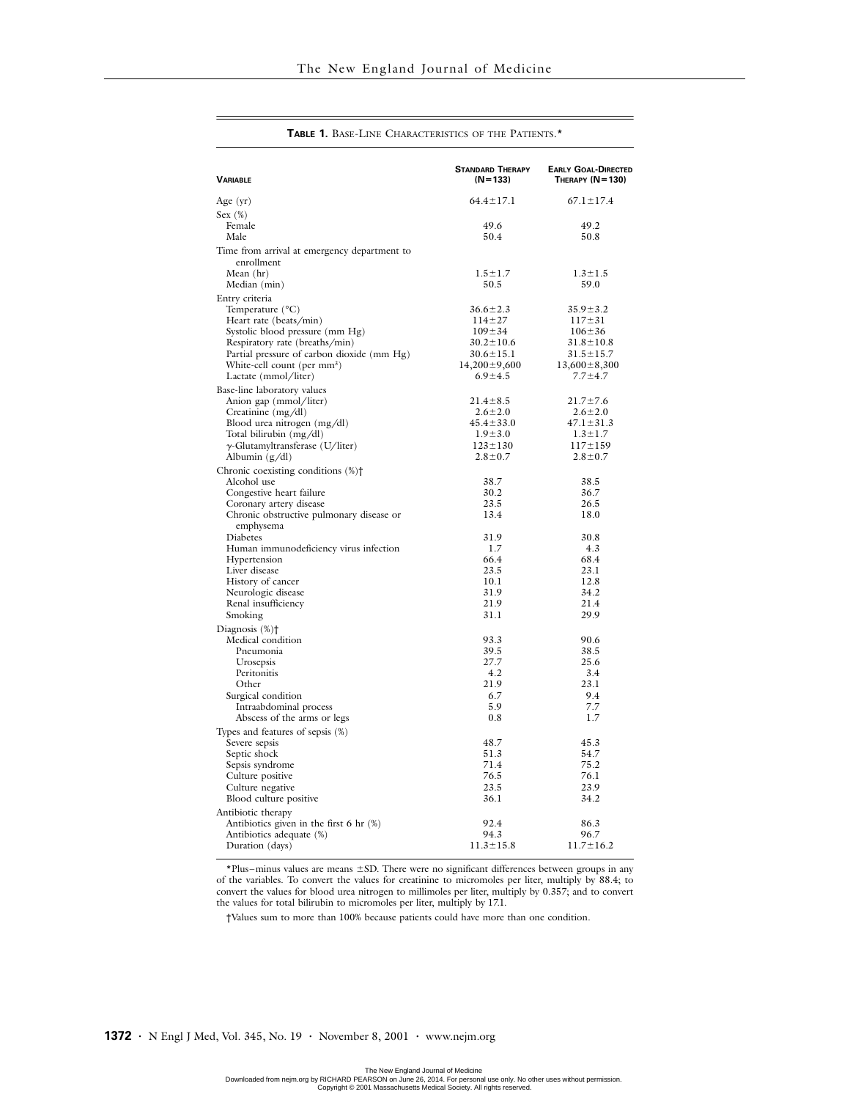| <b>EARLY GOAL-DIRECTED</b><br><b>STANDARD THERAPY</b><br><b><i>VARIABLE</i></b><br>$(N=133)$<br>THERAPY $(N = 130)$<br>$64.4 \pm 17.1$<br>$67.1 \pm 17.4$<br>Age $(yr)$<br>Sex $(\%)$<br>49.6<br>49.2<br>Female<br>Male<br>50.4<br>50.8<br>Time from arrival at emergency department to<br>enrollment<br>$1.5 \pm 1.7$<br>$1.3 \pm 1.5$<br>Mean (hr)<br>Median (min)<br>50.5<br>59.0<br>Entry criteria<br>Temperature $(^{\circ}C)$<br>$36.6 \pm 2.3$<br>$35.9 \pm 3.2$<br>Heart rate (beats/min)<br>$114 \pm 27$<br>$117 + 31$<br>Systolic blood pressure (mm Hg)<br>$109 \pm 34$<br>$106 \pm 36$<br>Respiratory rate (breaths/min)<br>$30.2 \pm 10.6$<br>$31.8 \pm 10.8$<br>Partial pressure of carbon dioxide (mm Hg)<br>$30.6 \pm 15.1$<br>$31.5 \pm 15.7$<br>$13,600 \pm 8,300$<br>White-cell count (per mm <sup>3</sup> )<br>$14,200 \pm 9,600$<br>Lactate (mmol/liter)<br>$6.9 + 4.5$<br>$7.7 + 4.7$<br>Base-line laboratory values<br>Anion gap (mmol/liter)<br>$21.7 \pm 7.6$<br>$21.4 \pm 8.5$<br>Creatinine (mg/dl)<br>$2.6 + 2.0$<br>$2.6 \pm 2.0$<br>Blood urea nitrogen (mg/dl)<br>$45.4 \pm 33.0$<br>$47.1 \pm 31.3$<br>Total bilirubin (mg/dl)<br>$1.9 \pm 3.0$<br>$1.3 \pm 1.7$<br>$\gamma$ -Glutamyltransferase (U/liter)<br>$123 \pm 130$<br>$117 + 159$<br>Albumin $(g/dl)$<br>$2.8 \pm 0.7$<br>$2.8 \pm 0.7$<br>Chronic coexisting conditions (%) <sup>+</sup><br>Alcohol use<br>38.7<br>38.5<br>Congestive heart failure<br>36.7<br>30.2 |
|----------------------------------------------------------------------------------------------------------------------------------------------------------------------------------------------------------------------------------------------------------------------------------------------------------------------------------------------------------------------------------------------------------------------------------------------------------------------------------------------------------------------------------------------------------------------------------------------------------------------------------------------------------------------------------------------------------------------------------------------------------------------------------------------------------------------------------------------------------------------------------------------------------------------------------------------------------------------------------------------------------------------------------------------------------------------------------------------------------------------------------------------------------------------------------------------------------------------------------------------------------------------------------------------------------------------------------------------------------------------------------------------------------------------------------------------------------------|
|                                                                                                                                                                                                                                                                                                                                                                                                                                                                                                                                                                                                                                                                                                                                                                                                                                                                                                                                                                                                                                                                                                                                                                                                                                                                                                                                                                                                                                                                |
|                                                                                                                                                                                                                                                                                                                                                                                                                                                                                                                                                                                                                                                                                                                                                                                                                                                                                                                                                                                                                                                                                                                                                                                                                                                                                                                                                                                                                                                                |
|                                                                                                                                                                                                                                                                                                                                                                                                                                                                                                                                                                                                                                                                                                                                                                                                                                                                                                                                                                                                                                                                                                                                                                                                                                                                                                                                                                                                                                                                |
|                                                                                                                                                                                                                                                                                                                                                                                                                                                                                                                                                                                                                                                                                                                                                                                                                                                                                                                                                                                                                                                                                                                                                                                                                                                                                                                                                                                                                                                                |
|                                                                                                                                                                                                                                                                                                                                                                                                                                                                                                                                                                                                                                                                                                                                                                                                                                                                                                                                                                                                                                                                                                                                                                                                                                                                                                                                                                                                                                                                |
|                                                                                                                                                                                                                                                                                                                                                                                                                                                                                                                                                                                                                                                                                                                                                                                                                                                                                                                                                                                                                                                                                                                                                                                                                                                                                                                                                                                                                                                                |
|                                                                                                                                                                                                                                                                                                                                                                                                                                                                                                                                                                                                                                                                                                                                                                                                                                                                                                                                                                                                                                                                                                                                                                                                                                                                                                                                                                                                                                                                |
|                                                                                                                                                                                                                                                                                                                                                                                                                                                                                                                                                                                                                                                                                                                                                                                                                                                                                                                                                                                                                                                                                                                                                                                                                                                                                                                                                                                                                                                                |
|                                                                                                                                                                                                                                                                                                                                                                                                                                                                                                                                                                                                                                                                                                                                                                                                                                                                                                                                                                                                                                                                                                                                                                                                                                                                                                                                                                                                                                                                |
|                                                                                                                                                                                                                                                                                                                                                                                                                                                                                                                                                                                                                                                                                                                                                                                                                                                                                                                                                                                                                                                                                                                                                                                                                                                                                                                                                                                                                                                                |
|                                                                                                                                                                                                                                                                                                                                                                                                                                                                                                                                                                                                                                                                                                                                                                                                                                                                                                                                                                                                                                                                                                                                                                                                                                                                                                                                                                                                                                                                |
|                                                                                                                                                                                                                                                                                                                                                                                                                                                                                                                                                                                                                                                                                                                                                                                                                                                                                                                                                                                                                                                                                                                                                                                                                                                                                                                                                                                                                                                                |
|                                                                                                                                                                                                                                                                                                                                                                                                                                                                                                                                                                                                                                                                                                                                                                                                                                                                                                                                                                                                                                                                                                                                                                                                                                                                                                                                                                                                                                                                |
|                                                                                                                                                                                                                                                                                                                                                                                                                                                                                                                                                                                                                                                                                                                                                                                                                                                                                                                                                                                                                                                                                                                                                                                                                                                                                                                                                                                                                                                                |
|                                                                                                                                                                                                                                                                                                                                                                                                                                                                                                                                                                                                                                                                                                                                                                                                                                                                                                                                                                                                                                                                                                                                                                                                                                                                                                                                                                                                                                                                |
|                                                                                                                                                                                                                                                                                                                                                                                                                                                                                                                                                                                                                                                                                                                                                                                                                                                                                                                                                                                                                                                                                                                                                                                                                                                                                                                                                                                                                                                                |
|                                                                                                                                                                                                                                                                                                                                                                                                                                                                                                                                                                                                                                                                                                                                                                                                                                                                                                                                                                                                                                                                                                                                                                                                                                                                                                                                                                                                                                                                |
|                                                                                                                                                                                                                                                                                                                                                                                                                                                                                                                                                                                                                                                                                                                                                                                                                                                                                                                                                                                                                                                                                                                                                                                                                                                                                                                                                                                                                                                                |
|                                                                                                                                                                                                                                                                                                                                                                                                                                                                                                                                                                                                                                                                                                                                                                                                                                                                                                                                                                                                                                                                                                                                                                                                                                                                                                                                                                                                                                                                |
|                                                                                                                                                                                                                                                                                                                                                                                                                                                                                                                                                                                                                                                                                                                                                                                                                                                                                                                                                                                                                                                                                                                                                                                                                                                                                                                                                                                                                                                                |
|                                                                                                                                                                                                                                                                                                                                                                                                                                                                                                                                                                                                                                                                                                                                                                                                                                                                                                                                                                                                                                                                                                                                                                                                                                                                                                                                                                                                                                                                |
|                                                                                                                                                                                                                                                                                                                                                                                                                                                                                                                                                                                                                                                                                                                                                                                                                                                                                                                                                                                                                                                                                                                                                                                                                                                                                                                                                                                                                                                                |
|                                                                                                                                                                                                                                                                                                                                                                                                                                                                                                                                                                                                                                                                                                                                                                                                                                                                                                                                                                                                                                                                                                                                                                                                                                                                                                                                                                                                                                                                |
|                                                                                                                                                                                                                                                                                                                                                                                                                                                                                                                                                                                                                                                                                                                                                                                                                                                                                                                                                                                                                                                                                                                                                                                                                                                                                                                                                                                                                                                                |
|                                                                                                                                                                                                                                                                                                                                                                                                                                                                                                                                                                                                                                                                                                                                                                                                                                                                                                                                                                                                                                                                                                                                                                                                                                                                                                                                                                                                                                                                |
| Coronary artery disease<br>26.5<br>23.5                                                                                                                                                                                                                                                                                                                                                                                                                                                                                                                                                                                                                                                                                                                                                                                                                                                                                                                                                                                                                                                                                                                                                                                                                                                                                                                                                                                                                        |
| Chronic obstructive pulmonary disease or<br>13.4<br>18.0                                                                                                                                                                                                                                                                                                                                                                                                                                                                                                                                                                                                                                                                                                                                                                                                                                                                                                                                                                                                                                                                                                                                                                                                                                                                                                                                                                                                       |
| emphysema                                                                                                                                                                                                                                                                                                                                                                                                                                                                                                                                                                                                                                                                                                                                                                                                                                                                                                                                                                                                                                                                                                                                                                                                                                                                                                                                                                                                                                                      |
| <b>Diabetes</b><br>31.9<br>30.8<br>4.3<br>Human immunodeficiency virus infection<br>1.7                                                                                                                                                                                                                                                                                                                                                                                                                                                                                                                                                                                                                                                                                                                                                                                                                                                                                                                                                                                                                                                                                                                                                                                                                                                                                                                                                                        |
| Hypertension<br>66.4<br>68.4                                                                                                                                                                                                                                                                                                                                                                                                                                                                                                                                                                                                                                                                                                                                                                                                                                                                                                                                                                                                                                                                                                                                                                                                                                                                                                                                                                                                                                   |
| Liver disease<br>23.5<br>23.1                                                                                                                                                                                                                                                                                                                                                                                                                                                                                                                                                                                                                                                                                                                                                                                                                                                                                                                                                                                                                                                                                                                                                                                                                                                                                                                                                                                                                                  |
| History of cancer<br>10.1<br>12.8                                                                                                                                                                                                                                                                                                                                                                                                                                                                                                                                                                                                                                                                                                                                                                                                                                                                                                                                                                                                                                                                                                                                                                                                                                                                                                                                                                                                                              |
| Neurologic disease<br>31.9<br>34.2                                                                                                                                                                                                                                                                                                                                                                                                                                                                                                                                                                                                                                                                                                                                                                                                                                                                                                                                                                                                                                                                                                                                                                                                                                                                                                                                                                                                                             |
| Renal insufficiency<br>21.9<br>21.4                                                                                                                                                                                                                                                                                                                                                                                                                                                                                                                                                                                                                                                                                                                                                                                                                                                                                                                                                                                                                                                                                                                                                                                                                                                                                                                                                                                                                            |
| Smoking<br>31.1<br>29.9                                                                                                                                                                                                                                                                                                                                                                                                                                                                                                                                                                                                                                                                                                                                                                                                                                                                                                                                                                                                                                                                                                                                                                                                                                                                                                                                                                                                                                        |
| Diagnosis $(\%)\uparrow$                                                                                                                                                                                                                                                                                                                                                                                                                                                                                                                                                                                                                                                                                                                                                                                                                                                                                                                                                                                                                                                                                                                                                                                                                                                                                                                                                                                                                                       |
| Medical condition<br>90.6<br>93.3                                                                                                                                                                                                                                                                                                                                                                                                                                                                                                                                                                                                                                                                                                                                                                                                                                                                                                                                                                                                                                                                                                                                                                                                                                                                                                                                                                                                                              |
| 38.5<br>Pneumonia<br>39.5<br>25.6                                                                                                                                                                                                                                                                                                                                                                                                                                                                                                                                                                                                                                                                                                                                                                                                                                                                                                                                                                                                                                                                                                                                                                                                                                                                                                                                                                                                                              |
| Urosepsis<br>27.7<br>Peritonitis<br>3.4<br>4.2                                                                                                                                                                                                                                                                                                                                                                                                                                                                                                                                                                                                                                                                                                                                                                                                                                                                                                                                                                                                                                                                                                                                                                                                                                                                                                                                                                                                                 |
| Other<br>21.9<br>23.1                                                                                                                                                                                                                                                                                                                                                                                                                                                                                                                                                                                                                                                                                                                                                                                                                                                                                                                                                                                                                                                                                                                                                                                                                                                                                                                                                                                                                                          |
| Surgical condition<br>6.7<br>9.4                                                                                                                                                                                                                                                                                                                                                                                                                                                                                                                                                                                                                                                                                                                                                                                                                                                                                                                                                                                                                                                                                                                                                                                                                                                                                                                                                                                                                               |
| 7.7<br>Intraabdominal process<br>5.9                                                                                                                                                                                                                                                                                                                                                                                                                                                                                                                                                                                                                                                                                                                                                                                                                                                                                                                                                                                                                                                                                                                                                                                                                                                                                                                                                                                                                           |
| Abscess of the arms or legs<br>0.8<br>1.7                                                                                                                                                                                                                                                                                                                                                                                                                                                                                                                                                                                                                                                                                                                                                                                                                                                                                                                                                                                                                                                                                                                                                                                                                                                                                                                                                                                                                      |
| Types and features of sepsis (%)                                                                                                                                                                                                                                                                                                                                                                                                                                                                                                                                                                                                                                                                                                                                                                                                                                                                                                                                                                                                                                                                                                                                                                                                                                                                                                                                                                                                                               |
| Severe sepsis<br>48.7<br>45.3                                                                                                                                                                                                                                                                                                                                                                                                                                                                                                                                                                                                                                                                                                                                                                                                                                                                                                                                                                                                                                                                                                                                                                                                                                                                                                                                                                                                                                  |
| Septic shock<br>51.3<br>54.7                                                                                                                                                                                                                                                                                                                                                                                                                                                                                                                                                                                                                                                                                                                                                                                                                                                                                                                                                                                                                                                                                                                                                                                                                                                                                                                                                                                                                                   |
| 71.4<br>Sepsis syndrome<br>75.2                                                                                                                                                                                                                                                                                                                                                                                                                                                                                                                                                                                                                                                                                                                                                                                                                                                                                                                                                                                                                                                                                                                                                                                                                                                                                                                                                                                                                                |
| Culture positive<br>76.5<br>76.1                                                                                                                                                                                                                                                                                                                                                                                                                                                                                                                                                                                                                                                                                                                                                                                                                                                                                                                                                                                                                                                                                                                                                                                                                                                                                                                                                                                                                               |
| 23.9<br>Culture negative<br>23.5<br>Blood culture positive<br>36.1<br>34.2                                                                                                                                                                                                                                                                                                                                                                                                                                                                                                                                                                                                                                                                                                                                                                                                                                                                                                                                                                                                                                                                                                                                                                                                                                                                                                                                                                                     |
|                                                                                                                                                                                                                                                                                                                                                                                                                                                                                                                                                                                                                                                                                                                                                                                                                                                                                                                                                                                                                                                                                                                                                                                                                                                                                                                                                                                                                                                                |
| Antibiotic therapy<br>Antibiotics given in the first 6 hr (%)<br>86.3<br>92.4                                                                                                                                                                                                                                                                                                                                                                                                                                                                                                                                                                                                                                                                                                                                                                                                                                                                                                                                                                                                                                                                                                                                                                                                                                                                                                                                                                                  |
| 94.3<br>96.7<br>Antibiotics adequate (%)                                                                                                                                                                                                                                                                                                                                                                                                                                                                                                                                                                                                                                                                                                                                                                                                                                                                                                                                                                                                                                                                                                                                                                                                                                                                                                                                                                                                                       |
| $11.3 \pm 15.8$<br>$11.7 \pm 16.2$<br>Duration (days)                                                                                                                                                                                                                                                                                                                                                                                                                                                                                                                                                                                                                                                                                                                                                                                                                                                                                                                                                                                                                                                                                                                                                                                                                                                                                                                                                                                                          |

**TABLE 1.** BASE-LINE CHARACTERISTICS OF THE PATIENTS.\*

\*Plus–minus values are means ±SD. There were no significant differences between groups in any of the variables. To convert the values for creatinine to micromoles per liter, multiply by 88.4; to convert the values for blood urea nitrogen to millimoles per liter, multiply by 0.357; and to convert the values for total bilirubin to micromoles per liter, multiply by 17.1.

†Values sum to more than 100% because patients could have more than one condition.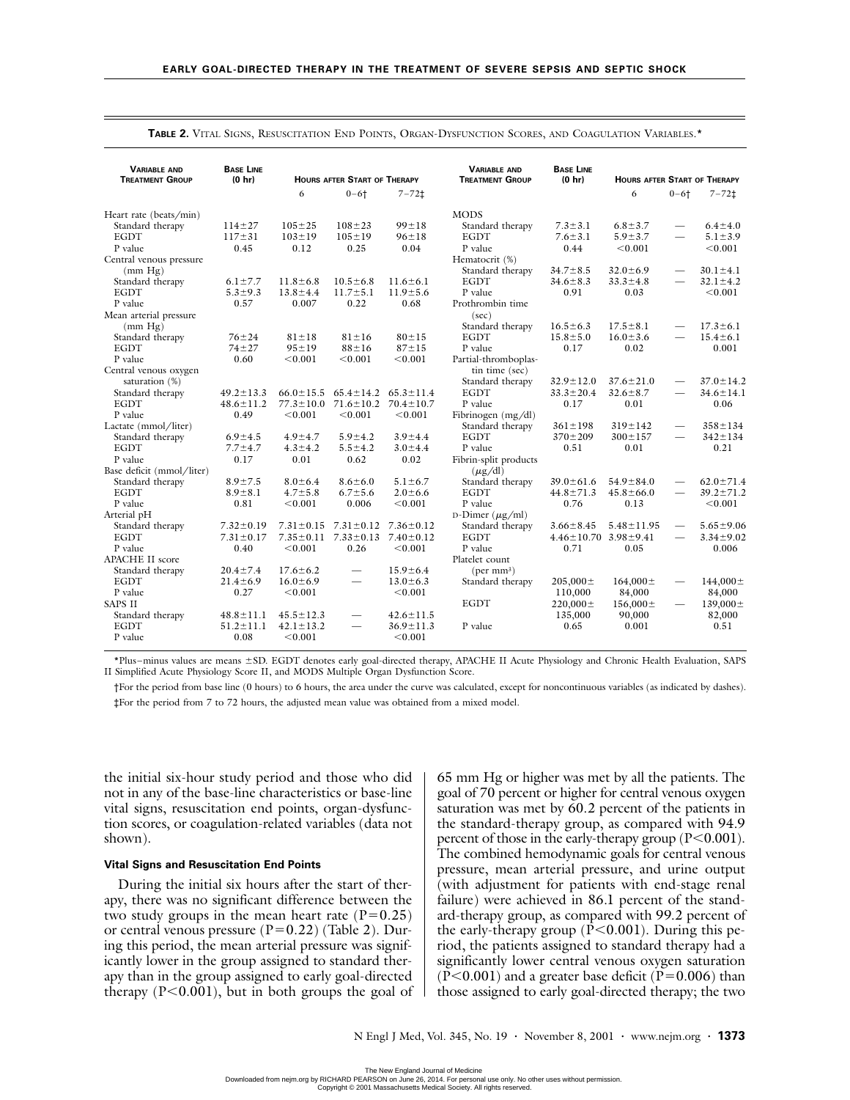| <b>VARIABLE AND</b><br><b>TREATMENT GROUP</b> | <b>BASE LINE</b><br>(0 <sub>hr</sub> ) |                 | <b>HOURS AFTER START OF THERAPY</b> |                 | <b>VARIABLE AND</b><br><b>TREATMENT GROUP</b> | <b>BASE LINE</b><br>(0 hr) | <b>HOURS AFTER START OF THERAPY</b> |                          |                 |
|-----------------------------------------------|----------------------------------------|-----------------|-------------------------------------|-----------------|-----------------------------------------------|----------------------------|-------------------------------------|--------------------------|-----------------|
|                                               |                                        | 6               | $0 - 61$                            | $7 - 72t$       |                                               |                            | 6                                   | $0 - 61$                 | $7 - 721$       |
|                                               |                                        |                 |                                     |                 |                                               |                            |                                     |                          |                 |
| Heart rate (beats/min)                        |                                        |                 |                                     |                 | <b>MODS</b>                                   |                            |                                     |                          |                 |
| Standard therapy                              | $114 \pm 27$                           | $105 \pm 25$    | $108 \pm 23$                        | $99 \pm 18$     | Standard therapy                              | $7.3 \pm 3.1$              | $6.8 \pm 3.7$                       |                          | $6.4 \pm 4.0$   |
| <b>EGDT</b>                                   | $117 + 31$                             | $103 \pm 19$    | $105 \pm 19$                        | $96 \pm 18$     | <b>EGDT</b>                                   | $7.6 \pm 3.1$              | $5.9 \pm 3.7$                       | $\overline{\phantom{0}}$ | $5.1 \pm 3.9$   |
| P value                                       | 0.45                                   | 0.12            | 0.25                                | 0.04            | P value                                       | 0.44                       | < 0.001                             |                          | < 0.001         |
| Central venous pressure                       |                                        |                 |                                     |                 | Hematocrit (%)                                |                            |                                     |                          |                 |
| (mm Hg)                                       |                                        |                 |                                     |                 | Standard therapy                              | $34.7 \pm 8.5$             | $32.0 \pm 6.9$                      |                          | $30.1 \pm 4.1$  |
| Standard therapy                              | $6.1 \pm 7.7$                          | $11.8 \pm 6.8$  | $10.5 \pm 6.8$                      | $11.6 \pm 6.1$  | <b>EGDT</b>                                   | $34.6 \pm 8.3$             | $33.3 \pm 4.8$                      |                          | $32.1 \pm 4.2$  |
| <b>EGDT</b>                                   | $5.3 \pm 9.3$                          | $13.8 \pm 4.4$  | $11.7 \pm 5.1$                      | $11.9 \pm 5.6$  | P value                                       | 0.91                       | 0.03                                |                          | < 0.001         |
| P value                                       | 0.57                                   | 0.007           | 0.22                                | 0.68            | Prothrombin time                              |                            |                                     |                          |                 |
| Mean arterial pressure                        |                                        |                 |                                     |                 | (sec)                                         |                            |                                     |                          |                 |
| (mm Hg)                                       |                                        |                 |                                     |                 | Standard therapy                              | $16.5 \pm 6.3$             | $17.5 \pm 8.1$                      |                          | $17.3 \pm 6.1$  |
| Standard therapy                              | $76 + 24$                              | $81 \pm 18$     | $81 \pm 16$                         | $80 \pm 15$     | <b>EGDT</b>                                   | $15.8 \pm 5.0$             | $16.0 \pm 3.6$                      | $\overline{\phantom{0}}$ | $15.4 \pm 6.1$  |
| <b>EGDT</b>                                   | $74 + 27$                              | $95 + 19$       | $88 + 16$                           | $87 + 15$       | P value                                       | 0.17                       | 0.02                                |                          | 0.001           |
| P value                                       | 0.60                                   | $<$ 0.001 $\,$  | < 0.001                             | $<$ 0.001       | Partial-thromboplas-                          |                            |                                     |                          |                 |
| Central venous oxygen                         |                                        |                 |                                     |                 | tin time (sec)                                |                            |                                     |                          |                 |
| saturation (%)                                |                                        |                 |                                     |                 | Standard therapy                              | $32.9 \pm 12.0$            | $37.6 \pm 21.0$                     | $\overline{\phantom{0}}$ | $37.0 \pm 14.2$ |
| Standard therapy                              | $49.2 \pm 13.3$                        | $66.0 \pm 15.5$ | $65.4 \pm 14.2$                     | $65.3 \pm 11.4$ | EGDT                                          | $33.3 \pm 20.4$            | $32.6 \pm 8.7$                      |                          | $34.6 \pm 14.1$ |
| <b>EGDT</b>                                   | $48.6 \pm 11.2$                        | $77.3 \pm 10.0$ | $71.6 \pm 10.2$                     | $70.4 \pm 10.7$ | P value                                       | 0.17                       | 0.01                                |                          | 0.06            |
| P value                                       | 0.49                                   | < 0.001         | < 0.001                             | < 0.001         | Fibrinogen (mg/dl)                            |                            |                                     |                          |                 |
| Lactate (mmol/liter)                          |                                        |                 |                                     |                 | Standard therapy                              | $361 \pm 198$              | $319 \pm 142$                       | $\overline{\phantom{m}}$ | $358 \pm 134$   |
| Standard therapy                              | $6.9 \pm 4.5$                          | $4.9 \pm 4.7$   | $5.9 \pm 4.2$                       | $3.9 + 4.4$     | <b>EGDT</b>                                   | $370 \pm 209$              | $300 \pm 157$                       | $\overline{\phantom{0}}$ | $342 \pm 134$   |
| EGDT                                          | $7.7 + 4.7$                            | $4.3 \pm 4.2$   | $5.5 \pm 4.2$                       | $3.0 \pm 4.4$   | P value                                       | 0.51                       | 0.01                                |                          | 0.21            |
| P value                                       | 0.17                                   | 0.01            | 0.62                                | 0.02            | Fibrin-split products                         |                            |                                     |                          |                 |
| Base deficit (mmol/liter)                     |                                        |                 |                                     |                 | $(\mu$ g/dl)                                  |                            |                                     |                          |                 |
| Standard therapy                              | $8.9 + 7.5$                            | $8.0 \pm 6.4$   | $8.6 \pm 6.0$                       | $5.1 \pm 6.7$   | Standard therapy                              | $39.0 \pm 61.6$            | $54.9 \pm 84.0$                     |                          | $62.0 \pm 71.4$ |
| <b>EGDT</b>                                   | $8.9 + 8.1$                            | $4.7 \pm 5.8$   | $6.7 \pm 5.6$                       | $2.0 \pm 6.6$   | <b>EGDT</b>                                   | $44.8 \pm 71.3$            | $45.8 \pm 66.0$                     | $\overline{\phantom{0}}$ | $39.2 \pm 71.2$ |
| P value                                       | 0.81                                   | < 0.001         | 0.006                               | < 0.001         | P value                                       | 0.76                       | 0.13                                |                          | < 0.001         |
| Arterial pH                                   |                                        |                 |                                     |                 | $D$ -Dimer ( $\mu$ g/ml)                      |                            |                                     |                          |                 |
| Standard therapy                              | $7.32 \pm 0.19$                        | $7.31 \pm 0.15$ | $7.31 \pm 0.12$                     | $7.36 \pm 0.12$ | Standard therapy                              | $3.66 \pm 8.45$            | $5.48 \pm 11.95$                    | $\overline{\phantom{0}}$ | $5.65 \pm 9.06$ |
| <b>EGDT</b>                                   | $7.31 \pm 0.17$                        | $7.35 \pm 0.11$ | $7.33 \pm 0.13$                     | $7.40 \pm 0.12$ | <b>EGDT</b>                                   | $4.46 \pm 10.70$           | $3.98 \pm 9.41$                     | $\overline{\phantom{0}}$ | $3.34 \pm 9.02$ |
| P value                                       | 0.40                                   | < 0.001         | 0.26                                | < 0.001         | P value                                       | 0.71                       | 0.05                                |                          | 0.006           |
| <b>APACHE II score</b>                        |                                        |                 |                                     |                 | Platelet count                                |                            |                                     |                          |                 |
| Standard therapy                              | $20.4 \pm 7.4$                         | $17.6 \pm 6.2$  |                                     | $15.9 \pm 6.4$  | $(\text{per mm}^3)$                           |                            |                                     |                          |                 |
| EGDT                                          | $21.4 \pm 6.9$                         | $16.0 \pm 6.9$  |                                     | $13.0 \pm 6.3$  | Standard therapy                              | $205,000 \pm$              | $164,000 \pm$                       |                          | $144,000\pm$    |
| P value                                       | 0.27                                   | < 0.001         |                                     | < 0.001         |                                               | 110,000                    | 84,000                              |                          | 84,000          |
| <b>SAPS II</b>                                |                                        |                 |                                     |                 | <b>EGDT</b>                                   | $220,000 \pm$              | $156,000 \pm$                       |                          | 139,000±        |
| Standard therapy                              | $48.8 \pm 11.1$                        | $45.5 \pm 12.3$ |                                     | $42.6 \pm 11.5$ |                                               | 135,000                    | 90,000                              |                          | 82,000          |
| <b>EGDT</b>                                   | $51.2 \pm 11.1$                        | $42.1 \pm 13.2$ |                                     | $36.9 \pm 11.3$ | P value                                       | 0.65                       | 0.001                               |                          | 0.51            |
| P value                                       | 0.08                                   | < 0.001         |                                     | < 0.001         |                                               |                            |                                     |                          |                 |

#### **TABLE 2.** VITAL SIGNS, RESUSCITATION END POINTS, ORGAN-DYSFUNCTION SCORES, AND COAGULATION VARIABLES.\*

\*Plus–minus values are means ±SD. EGDT denotes early goal-directed therapy, APACHE II Acute Physiology and Chronic Health Evaluation, SAPS II Simplified Acute Physiology Score II, and MODS Multiple Organ Dysfunction Score.

†For the period from base line (0 hours) to 6 hours, the area under the curve was calculated, except for noncontinuous variables (as indicated by dashes). ‡For the period from 7 to 72 hours, the adjusted mean value was obtained from a mixed model.

the initial six-hour study period and those who did not in any of the base-line characteristics or base-line vital signs, resuscitation end points, organ-dysfunction scores, or coagulation-related variables (data not shown).

# **Vital Signs and Resuscitation End Points**

During the initial six hours after the start of therapy, there was no significant difference between the two study groups in the mean heart rate  $(P=0.25)$ or central venous pressure  $(P=0.22)$  (Table 2). During this period, the mean arterial pressure was significantly lower in the group assigned to standard therapy than in the group assigned to early goal-directed therapy  $(P<0.001)$ , but in both groups the goal of 65 mm Hg or higher was met by all the patients. The goal of 70 percent or higher for central venous oxygen saturation was met by 60.2 percent of the patients in the standard-therapy group, as compared with 94.9 percent of those in the early-therapy group  $(P<0.001)$ . The combined hemodynamic goals for central venous pressure, mean arterial pressure, and urine output (with adjustment for patients with end-stage renal failure) were achieved in 86.1 percent of the standard-therapy group, as compared with 99.2 percent of the early-therapy group  $(P<0.001)$ . During this period, the patients assigned to standard therapy had a significantly lower central venous oxygen saturation  $(P<0.001)$  and a greater base deficit  $(P=0.006)$  than those assigned to early goal-directed therapy; the two

N Engl J Med, Vol. 345, No. 19 **·** November 8, 2001 **·** www.nejm.org **· 1373**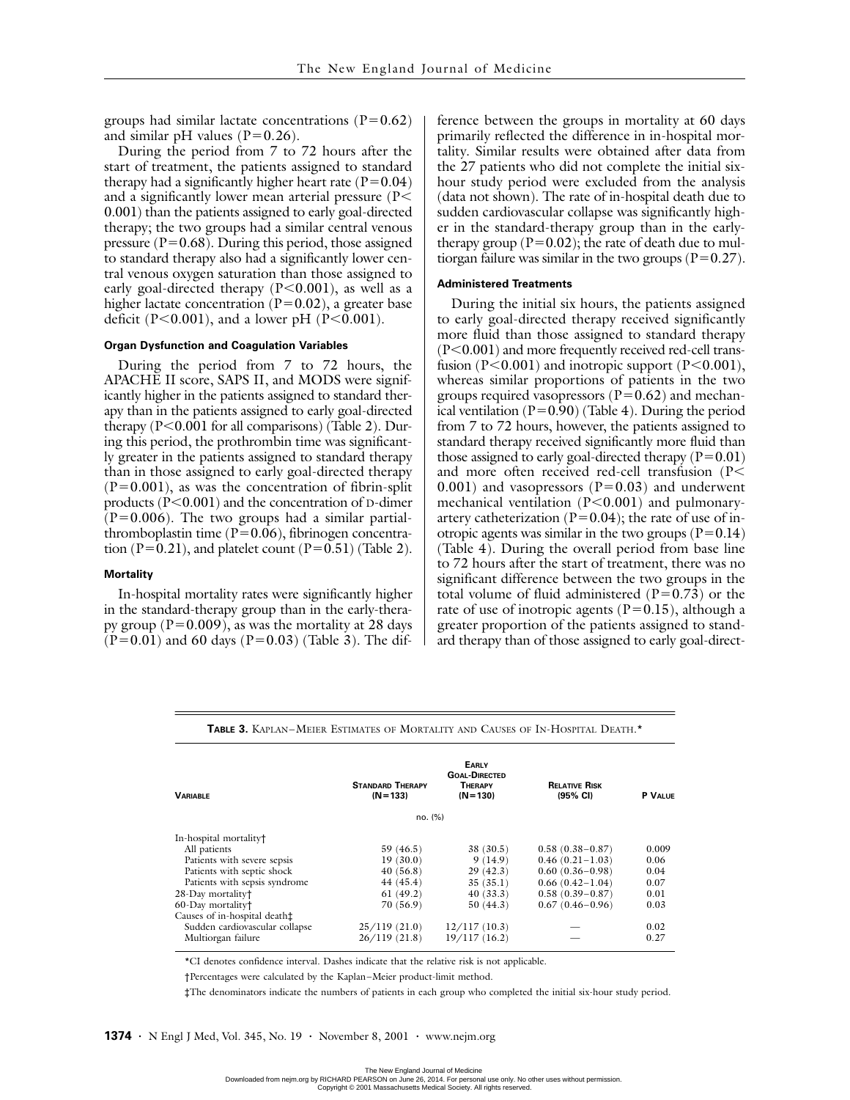groups had similar lactate concentrations  $(P=0.62)$ and similar pH values  $(P=0.26)$ .

During the period from 7 to 72 hours after the start of treatment, the patients assigned to standard therapy had a significantly higher heart rate ( $P=0.04$ ) and a significantly lower mean arterial pressure (P< 0.001) than the patients assigned to early goal-directed therapy; the two groups had a similar central venous pressure ( $P=0.68$ ). During this period, those assigned to standard therapy also had a significantly lower central venous oxygen saturation than those assigned to early goal-directed therapy  $(P<0.001)$ , as well as a higher lactate concentration ( $P=0.02$ ), a greater base deficit ( $P<0.001$ ), and a lower pH ( $P<0.001$ ).

# **Organ Dysfunction and Coagulation Variables**

During the period from 7 to 72 hours, the APACHE II score, SAPS II, and MODS were significantly higher in the patients assigned to standard therapy than in the patients assigned to early goal-directed therapy  $(P<0.001$  for all comparisons) (Table 2). During this period, the prothrombin time was significantly greater in the patients assigned to standard therapy than in those assigned to early goal-directed therapy  $(P=0.001)$ , as was the concentration of fibrin-split products (P<0.001) and the concentration of D-dimer  $($ P=0.006). The two groups had a similar partialthromboplastin time  $(P=0.06)$ , fibrinogen concentration (P=0.21), and platelet count (P=0.51) (Table 2).

### **Mortality**

In-hospital mortality rates were significantly higher in the standard-therapy group than in the early-therapy group  $(P=0.009)$ , as was the mortality at 28 days  $(P=0.01)$  and 60 days  $(P=0.03)$  (Table 3). The difference between the groups in mortality at 60 days primarily reflected the difference in in-hospital mortality. Similar results were obtained after data from the 27 patients who did not complete the initial sixhour study period were excluded from the analysis (data not shown). The rate of in-hospital death due to sudden cardiovascular collapse was significantly higher in the standard-therapy group than in the earlytherapy group ( $P=0.02$ ); the rate of death due to multiorgan failure was similar in the two groups  $(P=0.27)$ .

# **Administered Treatments**

During the initial six hours, the patients assigned to early goal-directed therapy received significantly more fluid than those assigned to standard therapy (P<0.001) and more frequently received red-cell transfusion ( $P<0.001$ ) and inotropic support ( $P<0.001$ ), whereas similar proportions of patients in the two groups required vasopressors  $(P=0.62)$  and mechanical ventilation ( $P=0.90$ ) (Table 4). During the period from 7 to 72 hours, however, the patients assigned to standard therapy received significantly more fluid than those assigned to early goal-directed therapy  $(P=0.01)$ and more often received red-cell transfusion (P< 0.001) and vasopressors  $(P=0.03)$  and underwent mechanical ventilation (P<0.001) and pulmonaryartery catheterization ( $P=0.04$ ); the rate of use of inotropic agents was similar in the two groups  $(P=0.14)$ (Table 4). During the overall period from base line to 72 hours after the start of treatment, there was no significant difference between the two groups in the total volume of fluid administered  $(P=0.73)$  or the rate of use of inotropic agents ( $P=0.15$ ), although a greater proportion of the patients assigned to standard therapy than of those assigned to early goal-direct-

**TABLE 3.** KAPLAN–MEIER ESTIMATES OF MORTALITY AND CAUSES OF IN-HOSPITAL DEATH.\*

| <b><i>VARIABLE</i></b>                   | <b>STANDARD THERAPY</b><br>$(N = 133)$ | <b>EARLY</b><br><b>GOAL-DIRECTED</b><br><b>THERAPY</b><br>$(N = 130)$ | <b>RELATIVE RISK</b><br>$(95% \text{ Cl})$ | <b>P VALUE</b> |
|------------------------------------------|----------------------------------------|-----------------------------------------------------------------------|--------------------------------------------|----------------|
|                                          | no. (%)                                |                                                                       |                                            |                |
| In-hospital mortality†                   |                                        |                                                                       |                                            |                |
| All patients                             | 59(46.5)                               | 38(30.5)                                                              | $0.58(0.38 - 0.87)$                        | 0.009          |
| Patients with severe sepsis              | 19(30.0)                               | 9(14.9)                                                               | $0.46(0.21-1.03)$                          | 0.06           |
| Patients with septic shock               | 40(56.8)                               | 29(42.3)                                                              | $0.60(0.36 - 0.98)$                        | 0.04           |
| Patients with sepsis syndrome            | 44(45.4)                               | 35(35.1)                                                              | $0.66(0.42 - 1.04)$                        | 0.07           |
| 28-Day mortality†                        | 61(49.2)                               | 40(33.3)                                                              | $0.58(0.39 - 0.87)$                        | 0.01           |
| 60-Day mortality†                        | 70(56.9)                               | 50(44.3)                                                              | $0.67(0.46 - 0.96)$                        | 0.03           |
| Causes of in-hospital death <sup>+</sup> |                                        |                                                                       |                                            |                |
| Sudden cardiovascular collapse           | 25/119(21.0)                           | 12/117(10.3)                                                          |                                            | 0.02           |
| Multiorgan failure                       | 26/119(21.8)                           | 19/117(16.2)                                                          |                                            | 0.27           |

\*CI denotes confidence interval. Dashes indicate that the relative risk is not applicable.

†Percentages were calculated by the Kaplan–Meier product-limit method.

‡The denominators indicate the numbers of patients in each group who completed the initial six-hour study period.

**1374 ·** N Engl J Med, Vol. 345, No. 19 **·** November 8, 2001 **·** www.nejm.org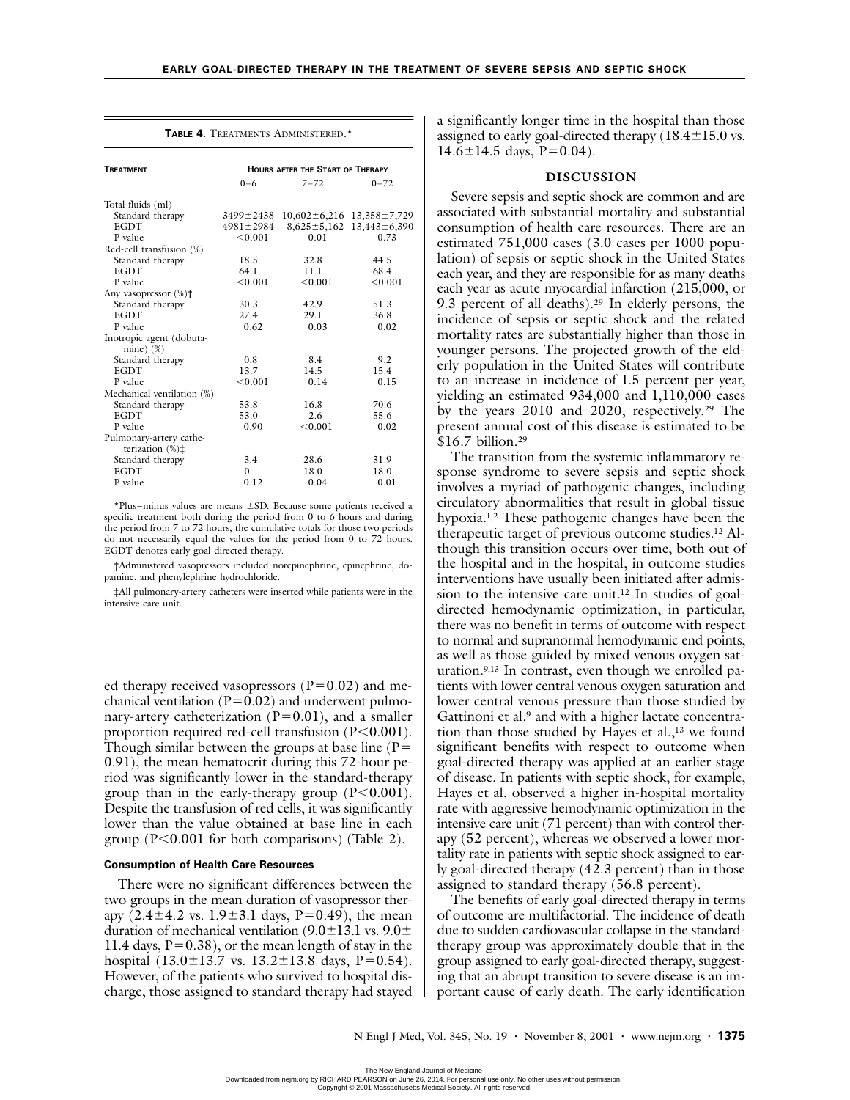| <b>TABLE 4. TREATMENTS ADMINISTERED.*</b> |                   |                                       |  |  |  |  |  |
|-------------------------------------------|-------------------|---------------------------------------|--|--|--|--|--|
| <b>HOURS AFTER THE START OF THERAPY</b>   |                   |                                       |  |  |  |  |  |
| $0 - 6$                                   | $7 - 72$          | $0 - 72$                              |  |  |  |  |  |
|                                           |                   |                                       |  |  |  |  |  |
| $3499 \pm 2438$                           |                   | $10,602 \pm 6,216$ $13,358 \pm 7,729$ |  |  |  |  |  |
| $4981 \pm 2984$                           | $8,625 \pm 5,162$ | $13,443 \pm 6,390$                    |  |  |  |  |  |
| < 0.001                                   | 0.01              | 0.73                                  |  |  |  |  |  |
|                                           |                   |                                       |  |  |  |  |  |
| 18.5                                      | 32.8              | 44.5                                  |  |  |  |  |  |
| 64.1                                      | 11.1              | 68.4                                  |  |  |  |  |  |
| < 0.001                                   | < 0.001           | < 0.001                               |  |  |  |  |  |
|                                           |                   |                                       |  |  |  |  |  |
| 30.3                                      | 42.9              | 51.3                                  |  |  |  |  |  |
| 27.4                                      | 29.1              | 36.8                                  |  |  |  |  |  |
| 0.62                                      | 0.03              | 0.02                                  |  |  |  |  |  |
|                                           |                   |                                       |  |  |  |  |  |
| 0.8                                       | 8.4               | 9.2                                   |  |  |  |  |  |
| 13.7                                      | 14.5              | 15.4                                  |  |  |  |  |  |
| < 0.001                                   | 0.14              | 0.15                                  |  |  |  |  |  |
|                                           |                   |                                       |  |  |  |  |  |
| 53.8                                      | 16.8              | 70.6                                  |  |  |  |  |  |
| 53.0                                      | 2.6               | 55.6                                  |  |  |  |  |  |
| 0.90                                      | < 0.001           | 0.02                                  |  |  |  |  |  |
|                                           |                   |                                       |  |  |  |  |  |
| 3.4                                       | 28.6              | 31.9                                  |  |  |  |  |  |
| $\Omega$                                  | 18.0              | 18.0                                  |  |  |  |  |  |
| 0.12                                      | 0.04              | 0.01                                  |  |  |  |  |  |
|                                           |                   |                                       |  |  |  |  |  |

\*Plus–minus values are means ±SD. Because some patients received a specific treatment both during the period from  $0$  to  $6$  hours and during the period from 7 to 72 hours, the cumulative totals for those two periods do not necessarily equal the values for the period from 0 to 72 hours. EGDT denotes early goal-directed therapy.

†Administered vasopressors included norepinephrine, epinephrine, dopamine, and phenylephrine hydrochloride.

‡All pulmonary-artery catheters were inserted while patients were in the intensive care unit.

ed therapy received vasopressors  $(P=0.02)$  and mechanical ventilation ( $P=0.02$ ) and underwent pulmonary-artery catheterization  $(P=0.01)$ , and a smaller proportion required red-cell transfusion  $(P<0.001)$ . Though similar between the groups at base line ( $P=$ 0.91), the mean hematocrit during this 72-hour period was significantly lower in the standard-therapy group than in the early-therapy group  $(P<0.001)$ . Despite the transfusion of red cells, it was significantly lower than the value obtained at base line in each group  $(P<0.001$  for both comparisons) (Table 2).

# **Consumption of Health Care Resources**

There were no significant differences between the two groups in the mean duration of vasopressor therapy  $(2.4\pm4.2 \text{ vs. } 1.9\pm3.1 \text{ days}, P=0.49)$ , the mean duration of mechanical ventilation  $(9.0 \pm 13.1 \text{ vs. } 9.0 \pm 1)$ 11.4 days, P=0.38), or the mean length of stay in the hospital  $(13.0 \pm 13.7 \text{ vs. } 13.2 \pm 13.8 \text{ days}, \text{ P=0.54}).$ However, of the patients who survived to hospital discharge, those assigned to standard therapy had stayed a significantly longer time in the hospital than those assigned to early goal-directed therapy  $(18.4 \pm 15.0 \text{ vs.})$  $14.6 \pm 14.5$  days,  $P = 0.04$ ).

# **DISCUSSION**

Severe sepsis and septic shock are common and are associated with substantial mortality and substantial consumption of health care resources. There are an estimated 751,000 cases (3.0 cases per 1000 population) of sepsis or septic shock in the United States each year, and they are responsible for as many deaths each year as acute myocardial infarction (215,000, or 9.3 percent of all deaths).29 In elderly persons, the incidence of sepsis or septic shock and the related mortality rates are substantially higher than those in younger persons. The projected growth of the elderly population in the United States will contribute to an increase in incidence of 1.5 percent per year, yielding an estimated 934,000 and 1,110,000 cases by the years 2010 and 2020, respectively.29 The present annual cost of this disease is estimated to be \$16.7 billion.29

The transition from the systemic inflammatory response syndrome to severe sepsis and septic shock involves a myriad of pathogenic changes, including circulatory abnormalities that result in global tissue hypoxia.1,2 These pathogenic changes have been the therapeutic target of previous outcome studies.12 Although this transition occurs over time, both out of the hospital and in the hospital, in outcome studies interventions have usually been initiated after admission to the intensive care unit.<sup>12</sup> In studies of goaldirected hemodynamic optimization, in particular, there was no benefit in terms of outcome with respect to normal and supranormal hemodynamic end points, as well as those guided by mixed venous oxygen saturation.9,13 In contrast, even though we enrolled patients with lower central venous oxygen saturation and lower central venous pressure than those studied by Gattinoni et al.<sup>9</sup> and with a higher lactate concentration than those studied by Hayes et al., $13$  we found significant benefits with respect to outcome when goal-directed therapy was applied at an earlier stage of disease. In patients with septic shock, for example, Hayes et al. observed a higher in-hospital mortality rate with aggressive hemodynamic optimization in the intensive care unit (71 percent) than with control therapy (52 percent), whereas we observed a lower mortality rate in patients with septic shock assigned to early goal-directed therapy (42.3 percent) than in those assigned to standard therapy (56.8 percent).

The benefits of early goal-directed therapy in terms of outcome are multifactorial. The incidence of death due to sudden cardiovascular collapse in the standardtherapy group was approximately double that in the group assigned to early goal-directed therapy, suggesting that an abrupt transition to severe disease is an important cause of early death. The early identification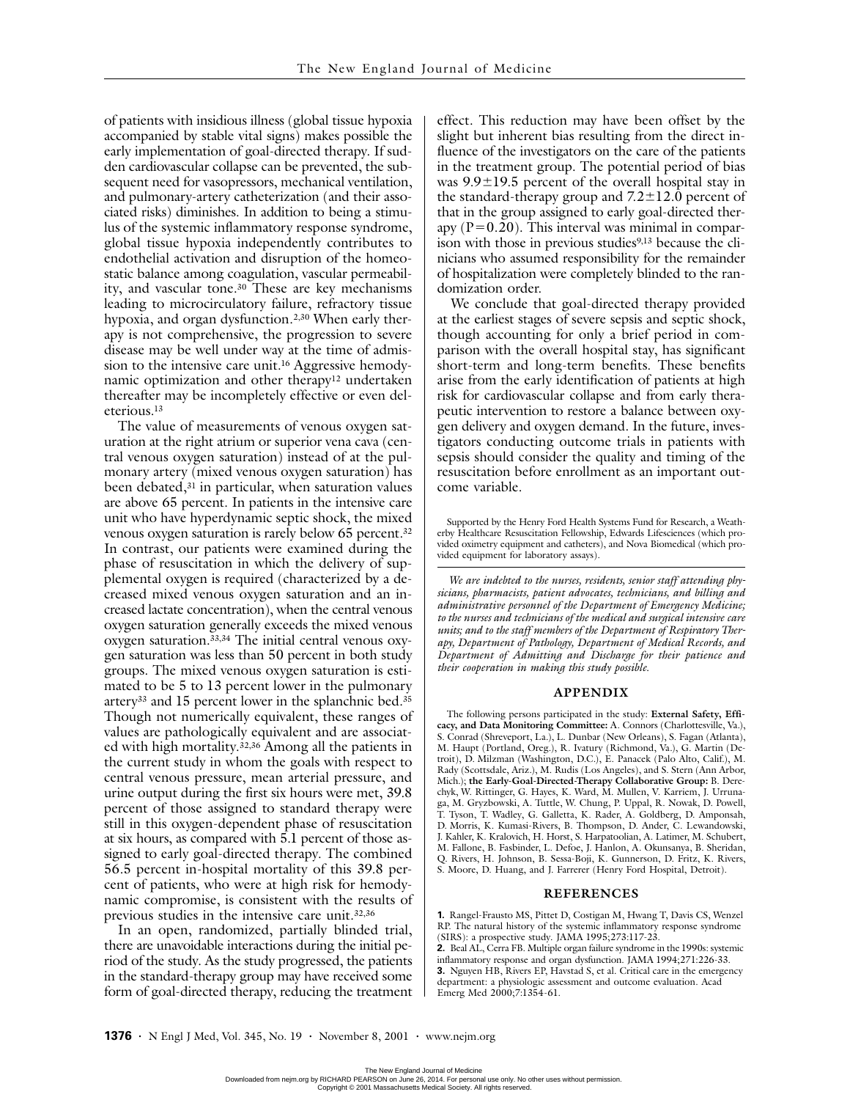of patients with insidious illness (global tissue hypoxia accompanied by stable vital signs) makes possible the early implementation of goal-directed therapy. If sudden cardiovascular collapse can be prevented, the subsequent need for vasopressors, mechanical ventilation, and pulmonary-artery catheterization (and their associated risks) diminishes. In addition to being a stimulus of the systemic inflammatory response syndrome, global tissue hypoxia independently contributes to endothelial activation and disruption of the homeostatic balance among coagulation, vascular permeability, and vascular tone.30 These are key mechanisms leading to microcirculatory failure, refractory tissue hypoxia, and organ dysfunction.2,30 When early therapy is not comprehensive, the progression to severe disease may be well under way at the time of admission to the intensive care unit.<sup>16</sup> Aggressive hemodynamic optimization and other therapy<sup>12</sup> undertaken thereafter may be incompletely effective or even deleterious.13

The value of measurements of venous oxygen saturation at the right atrium or superior vena cava (central venous oxygen saturation) instead of at the pulmonary artery (mixed venous oxygen saturation) has been debated,<sup>31</sup> in particular, when saturation values are above 65 percent. In patients in the intensive care unit who have hyperdynamic septic shock, the mixed venous oxygen saturation is rarely below 65 percent.<sup>32</sup> In contrast, our patients were examined during the phase of resuscitation in which the delivery of supplemental oxygen is required (characterized by a decreased mixed venous oxygen saturation and an increased lactate concentration), when the central venous oxygen saturation generally exceeds the mixed venous oxygen saturation.33,34 The initial central venous oxygen saturation was less than 50 percent in both study groups. The mixed venous oxygen saturation is estimated to be 5 to 13 percent lower in the pulmonary artery<sup>33</sup> and 15 percent lower in the splanchnic bed.<sup>35</sup> Though not numerically equivalent, these ranges of values are pathologically equivalent and are associated with high mortality.<sup>32,36</sup> Among all the patients in the current study in whom the goals with respect to central venous pressure, mean arterial pressure, and urine output during the first six hours were met, 39.8 percent of those assigned to standard therapy were still in this oxygen-dependent phase of resuscitation at six hours, as compared with 5.1 percent of those assigned to early goal-directed therapy. The combined 56.5 percent in-hospital mortality of this 39.8 percent of patients, who were at high risk for hemodynamic compromise, is consistent with the results of previous studies in the intensive care unit.32,36

In an open, randomized, partially blinded trial, there are unavoidable interactions during the initial period of the study. As the study progressed, the patients in the standard-therapy group may have received some form of goal-directed therapy, reducing the treatment effect. This reduction may have been offset by the slight but inherent bias resulting from the direct influence of the investigators on the care of the patients in the treatment group. The potential period of bias was 9.9±19.5 percent of the overall hospital stay in the standard-therapy group and  $7.2 \pm 12.0$  percent of that in the group assigned to early goal-directed therapy  $(P=0.20)$ . This interval was minimal in comparison with those in previous studies<sup>9,13</sup> because the clinicians who assumed responsibility for the remainder of hospitalization were completely blinded to the randomization order.

We conclude that goal-directed therapy provided at the earliest stages of severe sepsis and septic shock, though accounting for only a brief period in comparison with the overall hospital stay, has significant short-term and long-term benefits. These benefits arise from the early identification of patients at high risk for cardiovascular collapse and from early therapeutic intervention to restore a balance between oxygen delivery and oxygen demand. In the future, investigators conducting outcome trials in patients with sepsis should consider the quality and timing of the resuscitation before enrollment as an important outcome variable.

Supported by the Henry Ford Health Systems Fund for Research, a Weatherby Healthcare Resuscitation Fellowship, Edwards Lifesciences (which provided oximetry equipment and catheters), and Nova Biomedical (which provided equipment for laboratory assays).

*We are indebted to the nurses, residents, senior staff attending physicians, pharmacists, patient advocates, technicians, and billing and administrative personnel of the Department of Emergency Medicine; to the nurses and technicians of the medical and surgical intensive care units; and to the staff members of the Department of Respiratory Therapy, Department of Pathology, Department of Medical Records, and Department of Admitting and Discharge for their patience and their cooperation in making this study possible.*

# **APPENDIX**

The following persons participated in the study: **External Safety, Efficacy, and Data Monitoring Committee:** A. Connors (Charlottesville, Va.), S. Conrad (Shreveport, La.), L. Dunbar (New Orleans), S. Fagan (Atlanta), M. Haupt (Portland, Oreg.), R. Ivatury (Richmond, Va.), G. Martin (Detroit), D. Milzman (Washington, D.C.), E. Panacek (Palo Alto, Calif.), M. Rady (Scottsdale, Ariz.), M. Rudis (Los Angeles), and S. Stern (Ann Arbor, Mich.); **the Early-Goal-Directed-Therapy Collaborative Group:** B. Derechyk, W. Rittinger, G. Hayes, K. Ward, M. Mullen, V. Karriem, J. Urrunaga, M. Gryzbowski, A. Tuttle, W. Chung, P. Uppal, R. Nowak, D. Powell, T. Tyson, T. Wadley, G. Galletta, K. Rader, A. Goldberg, D. Amponsah, D. Morris, K. Kumasi-Rivers, B. Thompson, D. Ander, C. Lewandowski, J. Kahler, K. Kralovich, H. Horst, S. Harpatoolian, A. Latimer, M. Schubert, M. Fallone, B. Fasbinder, L. Defoe, J. Hanlon, A. Okunsanya, B. Sheridan, Q. Rivers, H. Johnson, B. Sessa-Boji, K. Gunnerson, D. Fritz, K. Rivers, S. Moore, D. Huang, and J. Farrerer (Henry Ford Hospital, Detroit).

## **REFERENCES**

**1.** Rangel-Frausto MS, Pittet D, Costigan M, Hwang T, Davis CS, Wenzel RP. The natural history of the systemic inflammatory response syndrome (SIRS): a prospective study. JAMA 1995;273:117-23. **2.** Beal AL, Cerra FB. Multiple organ failure syndrome in the 1990s: systemic inflammatory response and organ dysfunction. JAMA 1994;271:226-33. **3.** Nguyen HB, Rivers EP, Havstad S, et al. Critical care in the emergency department: a physiologic assessment and outcome evaluation. Acad Emerg Med 2000;7:1354-61.

**1376 ·** N Engl J Med, Vol. 345, No. 19 **·** November 8, 2001 **·** www.nejm.org